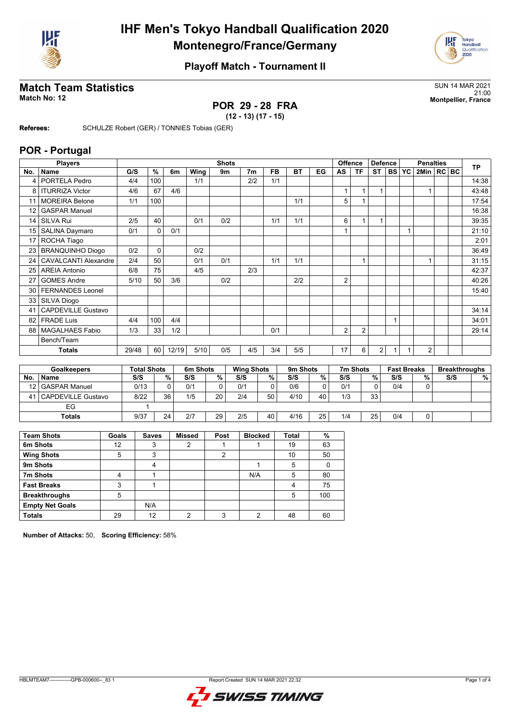



## **Match Team Statistics** SUN 14 MAR 2021

## **POR 29 - 28 FRA (12 - 13) (17 - 15)**

21:00 **Match No: 12 Montpellier, France**

**Referees:** SCHULZE Robert (GER) / TONNIES Tobias (GER)

#### **POR - Portugal**

|          | <b>Players</b>              |       | <b>Shots</b>       |              |       |                |                |     |                   |           |              | Offence<br><b>Defence</b> |                |                | <b>Penalties</b> |              |                    |                | <b>TP</b> |     |                      |
|----------|-----------------------------|-------|--------------------|--------------|-------|----------------|----------------|-----|-------------------|-----------|--------------|---------------------------|----------------|----------------|------------------|--------------|--------------------|----------------|-----------|-----|----------------------|
| No.      | Name                        |       | G/S                | $\%$         | 6m    | Wing           | 9m             |     | 7 <sub>m</sub>    | <b>FB</b> | <b>BT</b>    | EG                        | AS             | <b>TF</b>      | <b>ST</b>        | <b>BS</b>    | <b>YC</b>          | 2Min   RC BC   |           |     |                      |
| 4        | PORTELA Pedro               |       | 4/4                | 100          |       | 1/1            |                |     | 2/2               | 1/1       |              |                           |                |                |                  |              |                    |                |           |     | 14:38                |
| 8        | <b>ITURRIZA Victor</b>      |       | 4/6                | 67           | 4/6   |                |                |     |                   |           |              |                           | $\mathbf{1}$   | $\mathbf{1}$   | $\mathbf{1}$     |              |                    | $\mathbf{1}$   |           |     | 43:48                |
| 11       | <b>MOREIRA Belone</b>       |       | 1/1                | 100          |       |                |                |     |                   |           | 1/1          |                           | 5              | 1              |                  |              |                    |                |           |     | 17:54                |
| 12       | <b>GASPAR Manuel</b>        |       |                    |              |       |                |                |     |                   |           |              |                           |                |                |                  |              |                    |                |           |     | 16:38                |
| 14       | <b>SILVA Rui</b>            |       | 2/5                | 40           |       | 0/1            | 0/2            |     |                   | 1/1       | 1/1          |                           | 6              | 1              | $\mathbf{1}$     |              |                    |                |           |     | 39:35                |
| 15       | SALINA Daymaro              |       | 0/1                | $\mathbf 0$  | 0/1   |                |                |     |                   |           |              |                           | $\mathbf{1}$   |                |                  |              | 1                  |                |           |     | 21:10                |
| 17       | ROCHA Tiago                 |       |                    |              |       |                |                |     |                   |           |              |                           |                |                |                  |              |                    |                |           |     | 2:01                 |
|          | 23 BRANQUINHO Diogo         |       | 0/2                | $\mathbf 0$  |       | 0/2            |                |     |                   |           |              |                           |                |                |                  |              |                    |                |           |     | 36:49                |
| 24       | <b>CAVALCANTI Alexandre</b> |       | 2/4                | 50           |       | 0/1            | 0/1            |     |                   | 1/1       | 1/1          |                           |                | 1              |                  |              |                    | 1              |           |     | 31:15                |
| 25       | <b>AREIA Antonio</b>        |       | 6/8                | 75           |       | 4/5            |                |     | 2/3               |           |              |                           |                |                |                  |              |                    |                |           |     | 42:37                |
| 27       | <b>GOMES Andre</b>          |       | 5/10               | 50           | 3/6   |                | 0/2            |     |                   |           | 2/2          |                           | 2              |                |                  |              |                    |                |           |     | 40:26                |
| 30       | <b>FERNANDES Leonel</b>     |       |                    |              |       |                |                |     |                   |           |              |                           |                |                |                  |              |                    |                |           |     | 15:40                |
| 33       | <b>SILVA Diogo</b>          |       |                    |              |       |                |                |     |                   |           |              |                           |                |                |                  |              |                    |                |           |     |                      |
| 41       | <b>CAPDEVILLE Gustavo</b>   |       |                    |              |       |                |                |     |                   |           |              |                           |                |                |                  |              |                    |                |           |     | 34:14                |
| 82       | <b>FRADE Luis</b>           |       | 4/4                | 100          | 4/4   |                |                |     |                   |           |              |                           |                |                |                  | $\mathbf{1}$ |                    |                |           |     | 34:01                |
| 88       | <b>MAGALHAES Fabio</b>      |       | 1/3                | 33           | 1/2   |                |                |     |                   | 0/1       |              |                           | $\overline{2}$ | $\overline{2}$ |                  |              |                    |                |           |     | 29:14                |
|          | Bench/Team                  |       |                    |              |       |                |                |     |                   |           |              |                           |                |                |                  |              |                    |                |           |     |                      |
|          | <b>Totals</b>               |       | 29/48              | 60           | 12/19 | 5/10           | 0/5            |     | 4/5               | 3/4       | 5/5          |                           | 17             | 6              | 2                | 1            |                    | $\overline{2}$ |           |     |                      |
|          |                             |       |                    |              |       |                |                |     |                   |           |              |                           |                |                |                  |              |                    |                |           |     |                      |
|          | <b>Goalkeepers</b>          |       | <b>Total Shots</b> |              |       | 6m Shots       |                |     | <b>Wing Shots</b> |           | 9m Shots     |                           |                | 7m Shots       |                  |              | <b>Fast Breaks</b> |                |           |     | <b>Breakthroughs</b> |
| No.      | <b>Name</b>                 |       | S/S                |              | %     | S/S            | $\frac{9}{6}$  | S/S |                   | %         | S/S          | %                         | S/S            |                | $\frac{9}{6}$    | S/S          |                    | %              |           | S/S | %                    |
| 12       | <b>GASPAR Manuel</b>        |       | 0/13               |              | 0     | 0/1            | 0              | 0/1 |                   | 0         | 0/6          | 0                         | 0/1            |                | $\mathbf 0$      | 0/4          |                    | 0              |           |     |                      |
| 41       | <b>CAPDEVILLE Gustavo</b>   |       | 8/22               |              | 36    | 1/5            | 20             | 2/4 |                   | 50        | 4/10         | 40                        | 1/3            |                | 33               |              |                    |                |           |     |                      |
|          | EG                          |       | $\mathbf{1}$       |              |       |                |                |     |                   |           |              |                           |                |                |                  |              |                    |                |           |     |                      |
|          | <b>Totals</b>               |       | 9/37               |              | 24    | 2/7            | 29             | 2/5 |                   | 40        | 4/16         | 25                        | 1/4            |                | 25               | 0/4          |                    | 0              |           |     |                      |
|          |                             |       |                    |              |       |                |                |     |                   |           |              |                           |                |                |                  |              |                    |                |           |     |                      |
|          | <b>Team Shots</b>           | Goals |                    | <b>Saves</b> |       | <b>Missed</b>  | Post           |     | <b>Blocked</b>    |           | <b>Total</b> | $\%$                      |                |                |                  |              |                    |                |           |     |                      |
| 6m Shots |                             | 12    |                    | 3            |       | $\overline{2}$ | 1              |     | 1                 |           | 19           | 63                        |                |                |                  |              |                    |                |           |     |                      |
|          | <b>Wing Shots</b>           | 5     |                    | 3            |       |                | $\overline{2}$ |     |                   |           | 10           | 50                        |                |                |                  |              |                    |                |           |     |                      |

| <b>Wing Shots</b>      | 5  |     |  |     | 10 | 50  |
|------------------------|----|-----|--|-----|----|-----|
| 9m Shots               |    |     |  |     |    |     |
| 7m Shots               |    |     |  | N/A |    | 80  |
| <b>Fast Breaks</b>     |    |     |  |     |    | 75  |
| <b>Breakthroughs</b>   | 5  |     |  |     |    | 100 |
| <b>Empty Net Goals</b> |    | N/A |  |     |    |     |
| <b>Totals</b>          | 29 | 12  |  |     | 48 | 60  |

**Number of Attacks:** 50, **Scoring Efficiency:** 58%

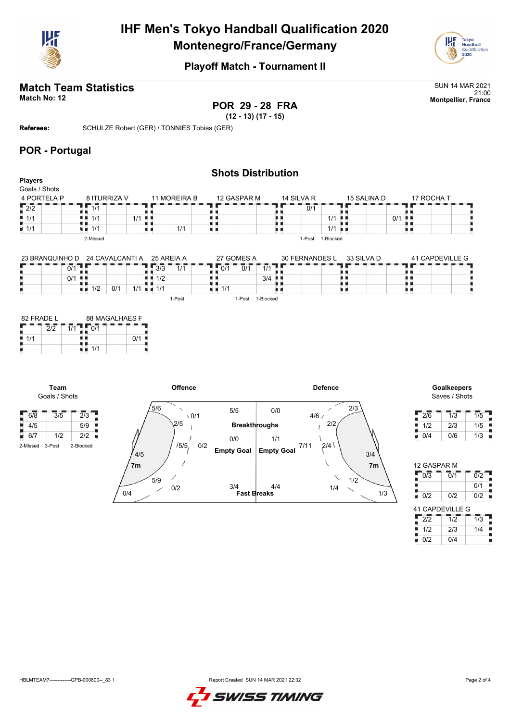



# **Match Team Statistics** Sun 14 MAR 2021

**POR 29 - 28 FRA**

21:00 **Match No: 12 Montpellier, France**

**(12 - 13) (17 - 15) Referees:** SCHULZE Robert (GER) / TONNIES Tobias (GER)

#### **POR - Portugal**

|                                 |                    |       |              | <b>Shots Distribution</b> |            |                      |             |            |  |
|---------------------------------|--------------------|-------|--------------|---------------------------|------------|----------------------|-------------|------------|--|
| <b>Players</b><br>Goals / Shots |                    |       |              |                           |            |                      |             |            |  |
| 4 PORTELA P                     | 8 ITURRIZA V       |       | 11 MOREIRA B | 12 GASPAR M               | 14 SILVA R |                      | 15 SALINA D | 17 ROCHA T |  |
| $\sqrt{2/2}$                    | $\overline{1/1}$   |       |              |                           |            | 0/1                  |             |            |  |
| $\parallel$ 1/1                 | 1/1                | $1/1$ |              |                           |            | $1/1$                | $0/1$       |            |  |
| $\overline{11/1}$               | $\blacksquare$ 1/1 |       | 1/1          |                           |            | $1/1$ $\blacksquare$ |             |            |  |
|                                 | 2-Missed           |       |              |                           | 1-Post     | 1-Blocked            |             |            |  |

| 23 BRANQUINHO D | 24 CAVALCANTI A               | 25 AREIA A                         | 27 GOMES A         | 30 FERNANDES L             | 33 SILVA D | 41 CAPDEVILLE G |  |  |  |
|-----------------|-------------------------------|------------------------------------|--------------------|----------------------------|------------|-----------------|--|--|--|
| 0/1             |                               | $\overline{3}/\overline{3}$<br>1/1 | 0/1<br>0/1         | <i>A</i> 1 <i>A</i><br>17. |            |                 |  |  |  |
| 0/1             |                               | 1/2<br>п.                          |                    | $3/4$ $\blacksquare$       |            |                 |  |  |  |
|                 | 0/1<br>1/2                    | 1/1<br>1/1                         | $\blacksquare$ 1/1 |                            |            |                 |  |  |  |
|                 | 1-Blocked<br>1-Post<br>l-Post |                                    |                    |                            |            |                 |  |  |  |

| 82 FRADE L |  | 88 MAGALHAES F |  |     |  |  |  |  |
|------------|--|----------------|--|-----|--|--|--|--|
|            |  |                |  |     |  |  |  |  |
| 1/1        |  |                |  | n/· |  |  |  |  |
|            |  | 1/1            |  |     |  |  |  |  |



| <b>Goalkeepers</b> |
|--------------------|
| Saves / Shots      |

| 2/6 | 1/3 | 1/5 |
|-----|-----|-----|
| 1/2 | 2/3 | 1/5 |
| 0/4 | 0/6 | 1/3 |

| 12 GASPAR M            |     |                  |  |  |  |  |  |  |  |  |
|------------------------|-----|------------------|--|--|--|--|--|--|--|--|
| 0/3                    | 0/1 | $\overline{0/2}$ |  |  |  |  |  |  |  |  |
|                        |     | 0/1              |  |  |  |  |  |  |  |  |
| 0/2                    | 0/2 | 0/2              |  |  |  |  |  |  |  |  |
| <b>41 CAPDEVILLE G</b> |     |                  |  |  |  |  |  |  |  |  |
|                        |     |                  |  |  |  |  |  |  |  |  |
| $2\overline{2}$        | 1/2 | 1/3              |  |  |  |  |  |  |  |  |
| 1/2                    | 2/3 | 1/4              |  |  |  |  |  |  |  |  |

**Team** Goals / Shots

6/8 3/5 2/3  $\frac{1}{4}/5$  5/9  $6/7$   $1/2$   $2/2$ 2-Missed 3-Post 2-Blocked

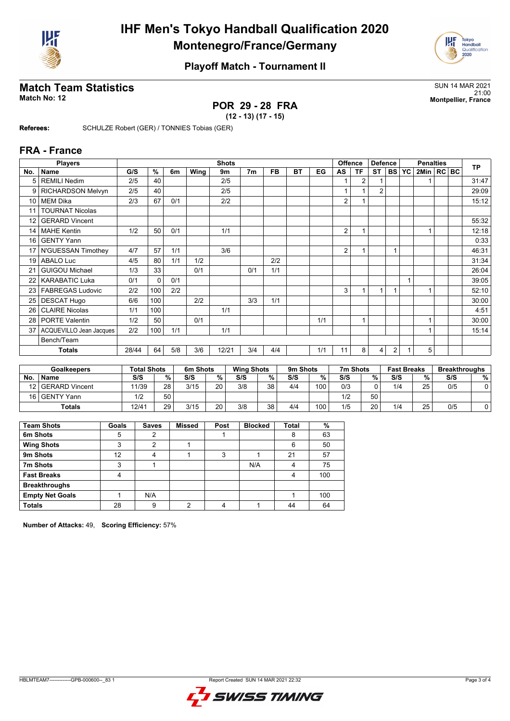



## **Match Team Statistics** SUN 14 MAR 2021

# **POR 29 - 28 FRA**

21:00 **Match No: 12 Montpellier, France**

**(12 - 13) (17 - 15)**

**Referees:** SCHULZE Robert (GER) / TONNIES Tobias (GER)

#### **FRA - France**

|                 | <b>Players</b>           |       |          |     |      | <b>Shots</b> |                |           |           |     | <b>Offence</b><br><b>Defence</b> |                |                | <b>Penalties</b> |    |              |  | <b>TP</b> |       |
|-----------------|--------------------------|-------|----------|-----|------|--------------|----------------|-----------|-----------|-----|----------------------------------|----------------|----------------|------------------|----|--------------|--|-----------|-------|
| No.             | <b>Name</b>              | G/S   | %        | 6m  | Wing | 9m           | 7 <sub>m</sub> | <b>FB</b> | <b>BT</b> | EG  | AS                               | <b>TF</b>      | <b>ST</b>      | <b>BS</b>        | YC | 2Min   RC BC |  |           |       |
| 5               | <b>REMILI Nedim</b>      | 2/5   | 40       |     |      | 2/5          |                |           |           |     |                                  | 2              |                |                  |    |              |  |           | 31:47 |
| 9               | <b>RICHARDSON Melvyn</b> | 2/5   | 40       |     |      | 2/5          |                |           |           |     |                                  |                | $\overline{2}$ |                  |    |              |  |           | 29:09 |
| 10 <sup>1</sup> | <b>MEM Dika</b>          | 2/3   | 67       | 0/1 |      | 2/2          |                |           |           |     | $\overline{2}$                   | 1              |                |                  |    |              |  |           | 15:12 |
| 11              | <b>TOURNAT Nicolas</b>   |       |          |     |      |              |                |           |           |     |                                  |                |                |                  |    |              |  |           |       |
| 12              | <b>GERARD Vincent</b>    |       |          |     |      |              |                |           |           |     |                                  |                |                |                  |    |              |  |           | 55:32 |
| 14              | <b>MAHE Kentin</b>       | 1/2   | 50       | 0/1 |      | 1/1          |                |           |           |     | 2                                | $\overline{1}$ |                |                  |    | 1            |  |           | 12:18 |
| 16              | <b>GENTY Yann</b>        |       |          |     |      |              |                |           |           |     |                                  |                |                |                  |    |              |  |           | 0:33  |
| 17 <sup>1</sup> | N'GUESSAN Timothey       | 4/7   | 57       | 1/1 |      | 3/6          |                |           |           |     | $\overline{2}$                   |                |                |                  |    |              |  |           | 46:31 |
| 19              | <b>ABALO Luc</b>         | 4/5   | 80       | 1/1 | 1/2  |              |                | 2/2       |           |     |                                  |                |                |                  |    |              |  |           | 31:34 |
| 21              | <b>GUIGOU Michael</b>    | 1/3   | 33       |     | 0/1  |              | 0/1            | 1/1       |           |     |                                  |                |                |                  |    |              |  |           | 26:04 |
| 22              | <b>KARABATIC Luka</b>    | 0/1   | $\Omega$ | 0/1 |      |              |                |           |           |     |                                  |                |                |                  |    |              |  |           | 39:05 |
| 23 <sub>1</sub> | <b>FABREGAS Ludovic</b>  | 2/2   | 100      | 2/2 |      |              |                |           |           |     | 3                                | $\mathbf{1}$   | $\overline{1}$ |                  |    | 1            |  |           | 52:10 |
| 25              | <b>DESCAT Hugo</b>       | 6/6   | 100      |     | 2/2  |              | 3/3            | 1/1       |           |     |                                  |                |                |                  |    |              |  |           | 30:00 |
| 26              | <b>CLAIRE Nicolas</b>    | 1/1   | 100      |     |      | 1/1          |                |           |           |     |                                  |                |                |                  |    |              |  |           | 4:51  |
|                 | 28   PORTE Valentin      | 1/2   | 50       |     | 0/1  |              |                |           |           | 1/1 |                                  | 1              |                |                  |    |              |  |           | 30:00 |
| 37              | ACQUEVILLO Jean Jacques  | 2/2   | 100      | 1/1 |      | 1/1          |                |           |           |     |                                  |                |                |                  |    |              |  |           | 15:14 |
|                 | Bench/Team               |       |          |     |      |              |                |           |           |     |                                  |                |                |                  |    |              |  |           |       |
|                 | <b>Totals</b>            | 28/44 | 64       | 5/8 | 3/6  | 12/21        | 3/4            | 4/4       |           | 1/1 | 11                               | 8              | 4              | 2                |    | 5            |  |           |       |

| <b>Goalkeepers</b> |                   | <b>Total Shots</b> |        | 6m Shots |    | <b>Wing Shots</b> |    | 9m Shots |     | 7m Shots |    | <b>Fast Breaks</b> |    | <b>Breakthroughs</b> |   |
|--------------------|-------------------|--------------------|--------|----------|----|-------------------|----|----------|-----|----------|----|--------------------|----|----------------------|---|
| <b>No</b>          | <b>Name</b>       | S/S                | $\%$ . | S/S      | %  | S/S               | %  | S/S      | %   | S/S      | %  | S/S                | %. | S/S                  | % |
|                    | 12 GERARD Vincent | 11/39              | 28     | 3/15     | 20 | 3/8               | 38 | 4/4      | 100 | 0/3      |    | 1/4                | 25 | 0/5                  |   |
| 16 <sup>1</sup>    | l GENTY Yann      | 1/2                | 50     |          |    |                   |    |          |     | 1/2      | 50 |                    |    |                      |   |
|                    | Totals            | 12/4 <sup>1</sup>  | 29     | 3/15     | 20 | 3/8               | 38 | 4/4      | 100 | 1/5      | 20 | 1/4                | 25 | 0/5                  |   |

| <b>Team Shots</b>      | Goals | <b>Saves</b> | <b>Missed</b> | Post | <b>Blocked</b> | Total | %   |
|------------------------|-------|--------------|---------------|------|----------------|-------|-----|
| 6m Shots               | 5     | 2            |               |      |                | 8     | 63  |
| <b>Wing Shots</b>      | 3     | າ            |               |      |                | 6     | 50  |
| 9m Shots               | 12    | 4            |               | 3    |                | 21    | 57  |
| 7m Shots               | 3     |              |               |      | N/A            | 4     | 75  |
| <b>Fast Breaks</b>     | 4     |              |               |      |                |       | 100 |
| <b>Breakthroughs</b>   |       |              |               |      |                |       |     |
| <b>Empty Net Goals</b> |       | N/A          |               |      |                |       | 100 |
| <b>Totals</b>          | 28    | 9            | ∩             | 4    |                | 44    | 64  |

**Number of Attacks:** 49, **Scoring Efficiency:** 57%